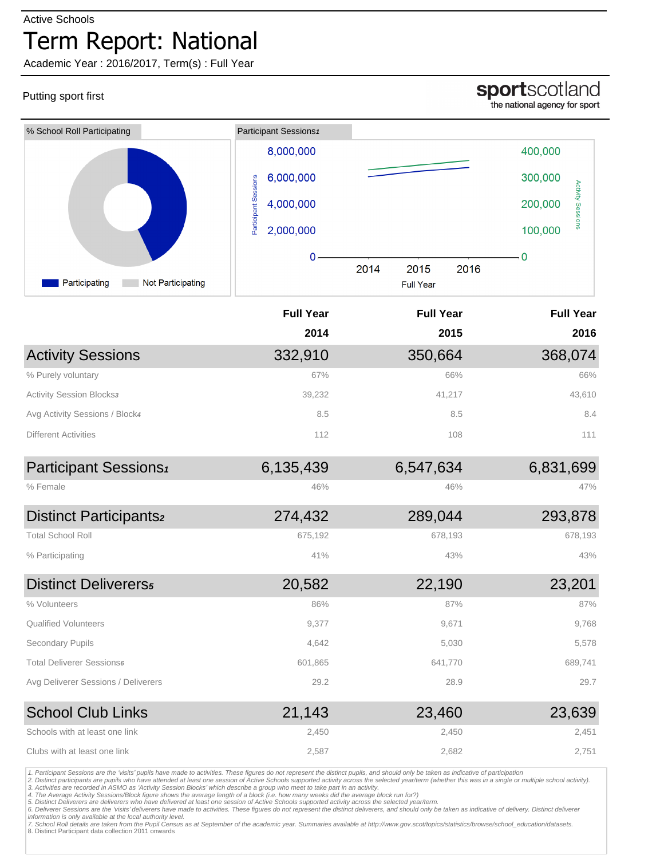#### Active Schools

## Term Report: National

Academic Year : 2016/2017, Term(s) : Full Year

## Putting sport first

## sportscotland

the national agency for sport

| % School Roll Participating               | Participant Sessions1             |                                  |                                     |
|-------------------------------------------|-----------------------------------|----------------------------------|-------------------------------------|
|                                           | 8,000,000                         |                                  | 400,000                             |
|                                           | 6,000,000                         |                                  | 300,000                             |
|                                           | Participant Sessions<br>4,000,000 |                                  | <b>Activity Sessions</b><br>200,000 |
|                                           | 2,000,000                         |                                  | 100,000                             |
|                                           | 0                                 |                                  | 0                                   |
| Participating<br><b>Not Participating</b> |                                   | 2014<br>2015<br><b>Full Year</b> | 2016                                |
|                                           | <b>Full Year</b>                  | <b>Full Year</b>                 | <b>Full Year</b>                    |
|                                           | 2014                              | 2015                             | 2016                                |
| <b>Activity Sessions</b>                  | 332,910                           | 350,664                          | 368,074                             |
| % Purely voluntary                        | 67%                               | 66%                              | 66%                                 |
| <b>Activity Session Blocks3</b>           | 39,232                            | 41,217                           | 43,610                              |
| Avg Activity Sessions / Block4            | 8.5                               | 8.5                              | 8.4                                 |
| <b>Different Activities</b>               | 112                               | 108                              | 111                                 |
| Participant Sessions <sup>1</sup>         | 6,135,439                         | 6,547,634                        | 6,831,699                           |
| % Female                                  | 46%                               | 46%                              | 47%                                 |
| <b>Distinct Participants2</b>             | 274,432                           | 289,044                          | 293,878                             |
| <b>Total School Roll</b>                  | 675,192                           | 678,193                          | 678,193                             |
| % Participating                           | 41%                               | 43%                              | 43%                                 |
| <b>Distinct Delivererss</b>               | 20,582                            | 22,190                           | 23,201                              |
| % Volunteers                              | 86%                               | 87%                              | 87%                                 |
| <b>Qualified Volunteers</b>               | 9,377                             | 9,671                            | 9,768                               |
| Secondary Pupils                          | 4,642                             | 5,030                            | 5,578                               |
| <b>Total Deliverer Sessions6</b>          | 601,865                           | 641,770                          | 689,741                             |
| Avg Deliverer Sessions / Deliverers       | 29.2                              | 28.9                             | 29.7                                |
| <b>School Club Links</b>                  | 21,143                            | 23,460                           | 23,639                              |
| Schools with at least one link            | 2,450                             | 2,450                            | 2,451                               |
| Clubs with at least one link              | 2,587                             | 2,682                            | 2,751                               |

1. Participant Sessions are the 'visits' pupils have made to activities. These figures do not represent the distinct pupils, and should only be taken as indicative of participation<br>2. Distinct participants are pupils who h

7. School Roll details are taken from the Pupil Census as at September of the academic year. Summaries available at http://www.gov.scot/topics/statistics/browse/school\_education/datasets.<br>8. Distinct Participant data colle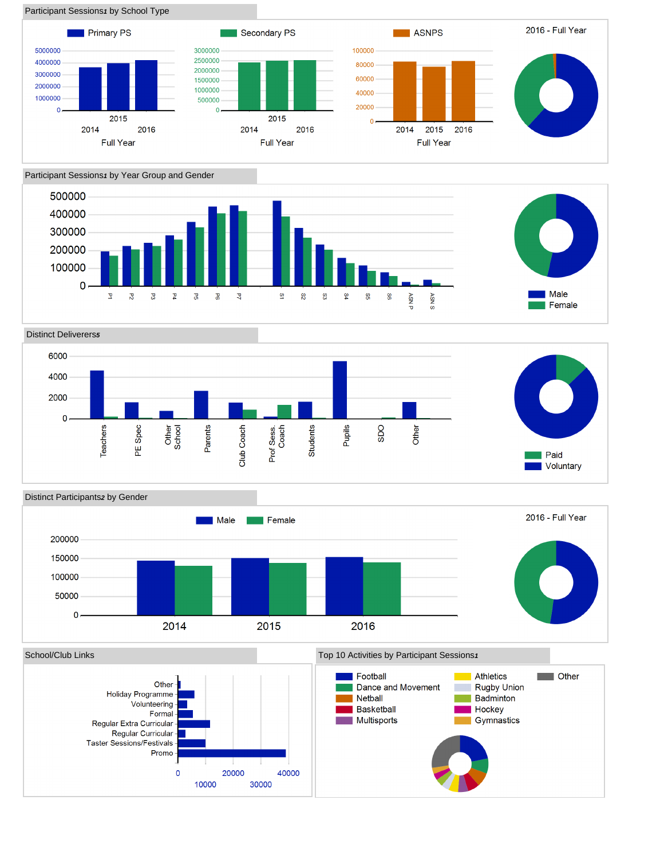